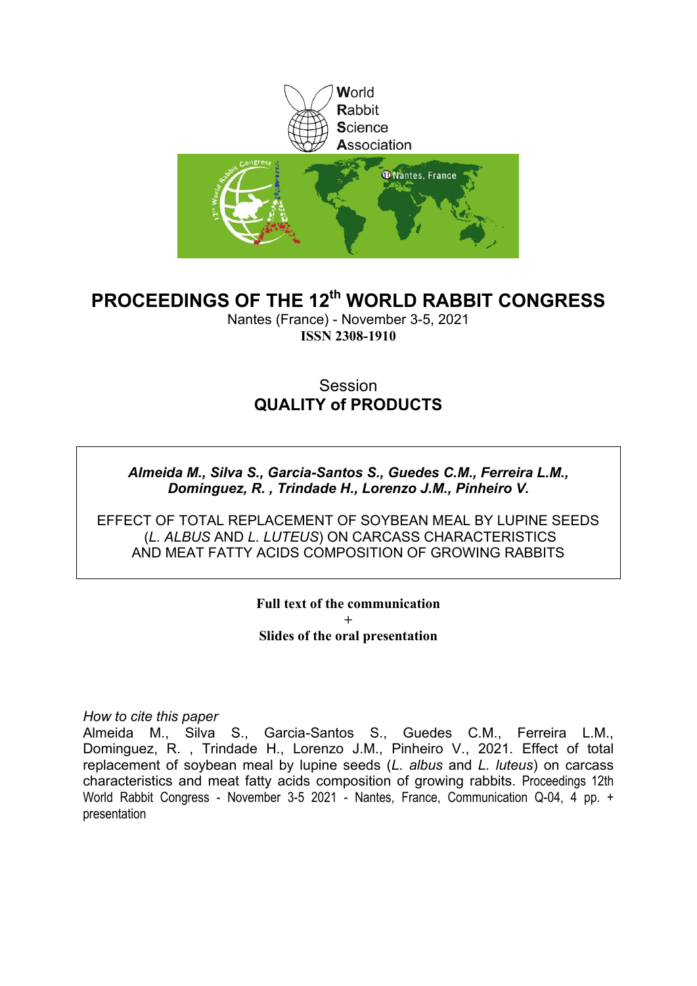

## **PROCEEDINGS OF THE 12th WORLD RABBIT CONGRESS**

Nantes (France) - November 3-5, 2021 **ISSN 2308-1910**

## **Session QUALITY of PRODUCTS**

### *Almeida M., Silva S., Garcia-Santos S., Guedes C.M., Ferreira L.M., Dominguez, R. , Trindade H., Lorenzo J.M., Pinheiro V.*

EFFECT OF TOTAL REPLACEMENT OF SOYBEAN MEAL BY LUPINE SEEDS (*L. ALBUS* AND *L. LUTEUS*) ON CARCASS CHARACTERISTICS AND MEAT FATTY ACIDS COMPOSITION OF GROWING RABBITS

> **Full text of the communication + Slides of the oral presentation**

*How to cite this paper*

Almeida M., Silva S., Garcia-Santos S., Guedes C.M., Ferreira L.M., Dominguez, R. , Trindade H., Lorenzo J.M., Pinheiro V., 2021. Effect of total replacement of soybean meal by lupine seeds (*L. albus* and *L. luteus*) on carcass characteristics and meat fatty acids composition of growing rabbits. Proceedings 12th World Rabbit Congress - November 3-5 2021 - Nantes, France, Communication Q-04, 4 pp. + presentation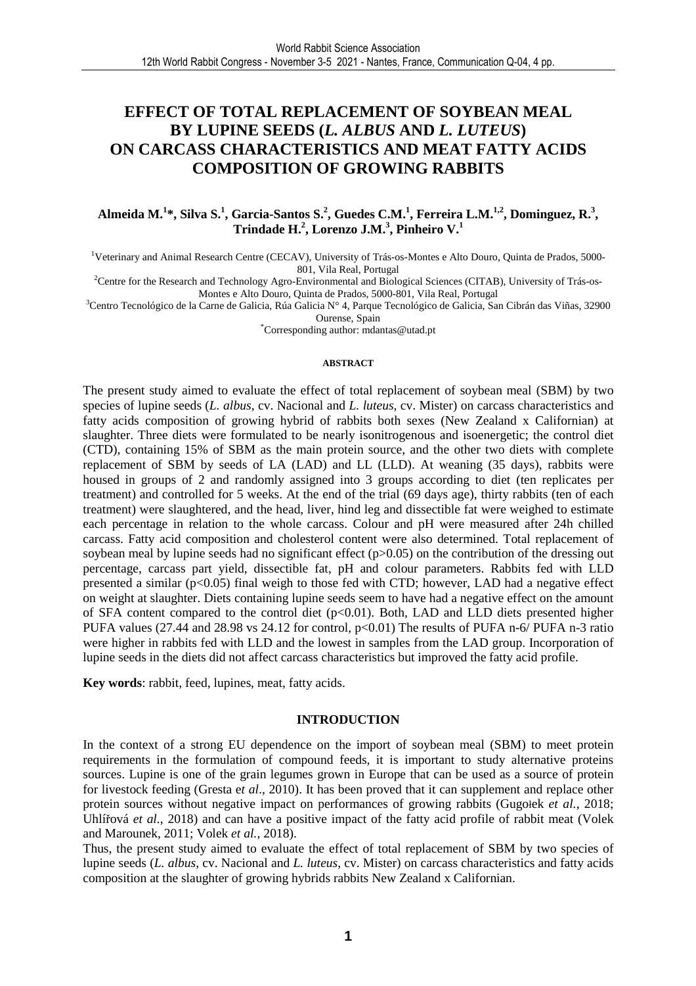## **EFFECT OF TOTAL REPLACEMENT OF SOYBEAN MEAL BY LUPINE SEEDS (***L. ALBUS* **AND** *L. LUTEUS***) ON CARCASS CHARACTERISTICS AND MEAT FATTY ACIDS COMPOSITION OF GROWING RABBITS**

**Almeida M.<sup>1</sup> \*, Silva S.<sup>1</sup> , Garcia-Santos S.<sup>2</sup> , Guedes C.M.<sup>1</sup> , Ferreira L.M.1,2, Dominguez, R.<sup>3</sup> , Trindade H.<sup>2</sup> , Lorenzo J.M.<sup>3</sup> , Pinheiro V.<sup>1</sup>**

<sup>1</sup>Veterinary and Animal Research Centre (CECAV), University of Trás-os-Montes e Alto Douro, Quinta de Prados, 5000-801, Vila Real, Portugal

<sup>2</sup>Centre for the Research and Technology Agro-Environmental and Biological Sciences (CITAB), University of Trás-os-Montes e Alto Douro, Quinta de Prados, 5000-801, Vila Real, Portugal

 $3$ Centro Tecnológico de la Carne de Galicia, Rúa Galicia N° 4, Parque Tecnológico de Galicia, San Cibrán das Viñas, 32900 Ourense, Spain

\*Corresponding author: mdantas@utad.pt

#### **ABSTRACT**

The present study aimed to evaluate the effect of total replacement of soybean meal (SBM) by two species of lupine seeds (*L. albus*, cv. Nacional and *L. luteus*, cv. Mister) on carcass characteristics and fatty acids composition of growing hybrid of rabbits both sexes (New Zealand x Californian) at slaughter. Three diets were formulated to be nearly isonitrogenous and isoenergetic; the control diet (CTD), containing 15% of SBM as the main protein source, and the other two diets with complete replacement of SBM by seeds of LA (LAD) and LL (LLD). At weaning (35 days), rabbits were housed in groups of 2 and randomly assigned into 3 groups according to diet (ten replicates per treatment) and controlled for 5 weeks. At the end of the trial (69 days age), thirty rabbits (ten of each treatment) were slaughtered, and the head, liver, hind leg and dissectible fat were weighed to estimate each percentage in relation to the whole carcass. Colour and pH were measured after 24h chilled carcass. Fatty acid composition and cholesterol content were also determined. Total replacement of soybean meal by lupine seeds had no significant effect (p>0.05) on the contribution of the dressing out percentage, carcass part yield, dissectible fat, pH and colour parameters. Rabbits fed with LLD presented a similar  $(p<0.05)$  final weigh to those fed with CTD; however, LAD had a negative effect on weight at slaughter. Diets containing lupine seeds seem to have had a negative effect on the amount of SFA content compared to the control diet  $(p<0.01)$ . Both, LAD and LLD diets presented higher PUFA values (27.44 and 28.98 vs 24.12 for control, p<0.01) The results of PUFA n-6/ PUFA n-3 ratio were higher in rabbits fed with LLD and the lowest in samples from the LAD group. Incorporation of lupine seeds in the diets did not affect carcass characteristics but improved the fatty acid profile.

**Key words**: rabbit, feed, lupines, meat, fatty acids.

#### **INTRODUCTION**

In the context of a strong EU dependence on the import of soybean meal (SBM) to meet protein requirements in the formulation of compound feeds, it is important to study alternative proteins sources. Lupine is one of the grain legumes grown in Europe that can be used as a source of protein for livestock feeding (Gresta e*t al*., 2010). It has been proved that it can supplement and replace other protein sources without negative impact on performances of growing rabbits (Gugołek *et al.*, 2018; Uhlířová *et al.*, 2018) and can have a positive impact of the fatty acid profile of rabbit meat (Volek and Marounek, 2011; Volek *et al.*, 2018).

Thus, the present study aimed to evaluate the effect of total replacement of SBM by two species of lupine seeds (*L. albus*, cv. Nacional and *L. luteus*, cv. Mister) on carcass characteristics and fatty acids composition at the slaughter of growing hybrids rabbits New Zealand x Californian.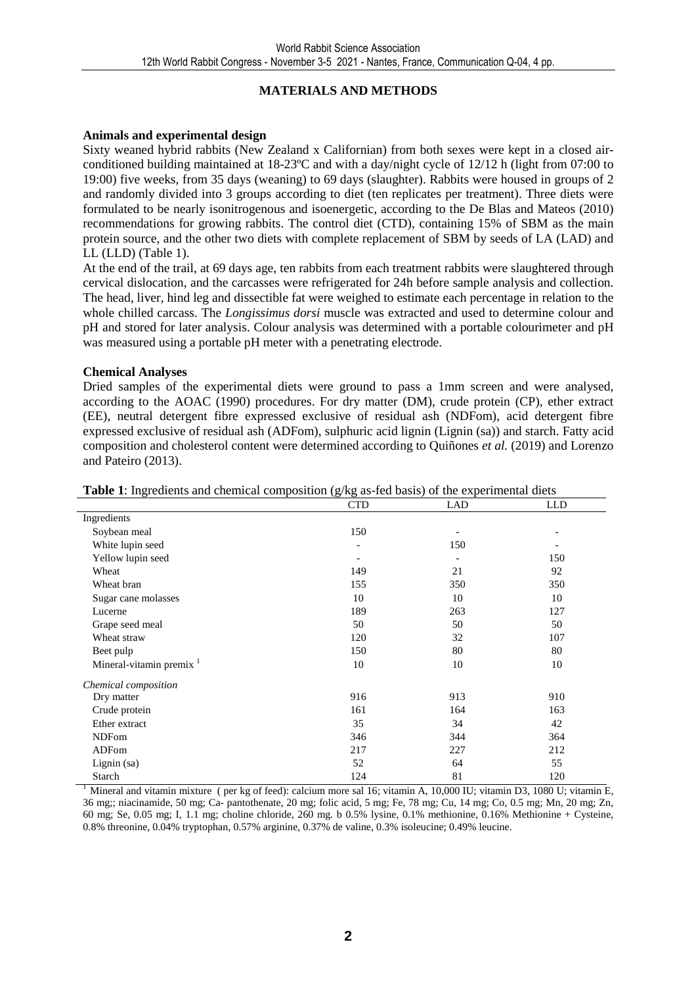### **MATERIALS AND METHODS**

### **Animals and experimental design**

Sixty weaned hybrid rabbits (New Zealand x Californian) from both sexes were kept in a closed airconditioned building maintained at 18-23ºC and with a day/night cycle of 12/12 h (light from 07:00 to 19:00) five weeks, from 35 days (weaning) to 69 days (slaughter). Rabbits were housed in groups of 2 and randomly divided into 3 groups according to diet (ten replicates per treatment). Three diets were formulated to be nearly isonitrogenous and isoenergetic, according to the De Blas and Mateos (2010) recommendations for growing rabbits. The control diet (CTD), containing 15% of SBM as the main protein source, and the other two diets with complete replacement of SBM by seeds of LA (LAD) and LL (LLD) (Table 1).

At the end of the trail, at 69 days age, ten rabbits from each treatment rabbits were slaughtered through cervical dislocation, and the carcasses were refrigerated for 24h before sample analysis and collection. The head, liver, hind leg and dissectible fat were weighed to estimate each percentage in relation to the whole chilled carcass. The *Longissimus dorsi* muscle was extracted and used to determine colour and pH and stored for later analysis. Colour analysis was determined with a portable colourimeter and pH was measured using a portable pH meter with a penetrating electrode.

#### **Chemical Analyses**

Dried samples of the experimental diets were ground to pass a 1mm screen and were analysed, according to the AOAC (1990) procedures. For dry matter (DM), crude protein (CP), ether extract (EE), neutral detergent fibre expressed exclusive of residual ash (NDFom), acid detergent fibre expressed exclusive of residual ash (ADFom), sulphuric acid lignin (Lignin (sa)) and starch. Fatty acid composition and cholesterol content were determined according to Quiñones *et al.* (2019) and Lorenzo and Pateiro (2013).

|                            | <b>CTD</b> | LAD                          | LLD                      |
|----------------------------|------------|------------------------------|--------------------------|
| Ingredients                |            |                              |                          |
| Soybean meal               | 150        | $\qquad \qquad \blacksquare$ | $\overline{\phantom{a}}$ |
| White lupin seed           |            | 150                          |                          |
| Yellow lupin seed          |            | $\overline{\phantom{a}}$     | 150                      |
| Wheat                      | 149        | 21                           | 92                       |
| Wheat bran                 | 155        | 350                          | 350                      |
| Sugar cane molasses        | 10         | 10                           | 10                       |
| Lucerne                    | 189        | 263                          | 127                      |
| Grape seed meal            | 50         | 50                           | 50                       |
| Wheat straw                | 120        | 32                           | 107                      |
| Beet pulp                  | 150        | 80                           | 80                       |
| Mineral-vitamin premix $1$ | 10         | 10                           | 10                       |
| Chemical composition       |            |                              |                          |
| Dry matter                 | 916        | 913                          | 910                      |
| Crude protein              | 161        | 164                          | 163                      |
| Ether extract              | 35         | 34                           | 42                       |
| NDFom                      | 346        | 344                          | 364                      |
| ADFom                      | 217        | 227                          | 212                      |
| Lignin (sa)                | 52         | 64                           | 55                       |
| Starch                     | 124        | 81                           | 120                      |

#### **Table 1**: Ingredients and chemical composition (g/kg as-fed basis) of the experimental diets

<sup>1</sup> Mineral and vitamin mixture (per kg of feed): calcium more sal 16; vitamin A, 10,000 IU; vitamin D3, 1080 U; vitamin E, 36 mg;; niacinamide, 50 mg; Ca- pantothenate, 20 mg; folic acid, 5 mg; Fe, 78 mg; Cu, 14 mg; Co, 0.5 mg; Mn, 20 mg; Zn, 60 mg; Se, 0.05 mg; I, 1.1 mg; choline chloride, 260 mg. b 0.5% lysine, 0.1% methionine, 0.16% Methionine + Cysteine, 0.8% threonine, 0.04% tryptophan, 0.57% arginine, 0.37% de valine, 0.3% isoleucine; 0.49% leucine.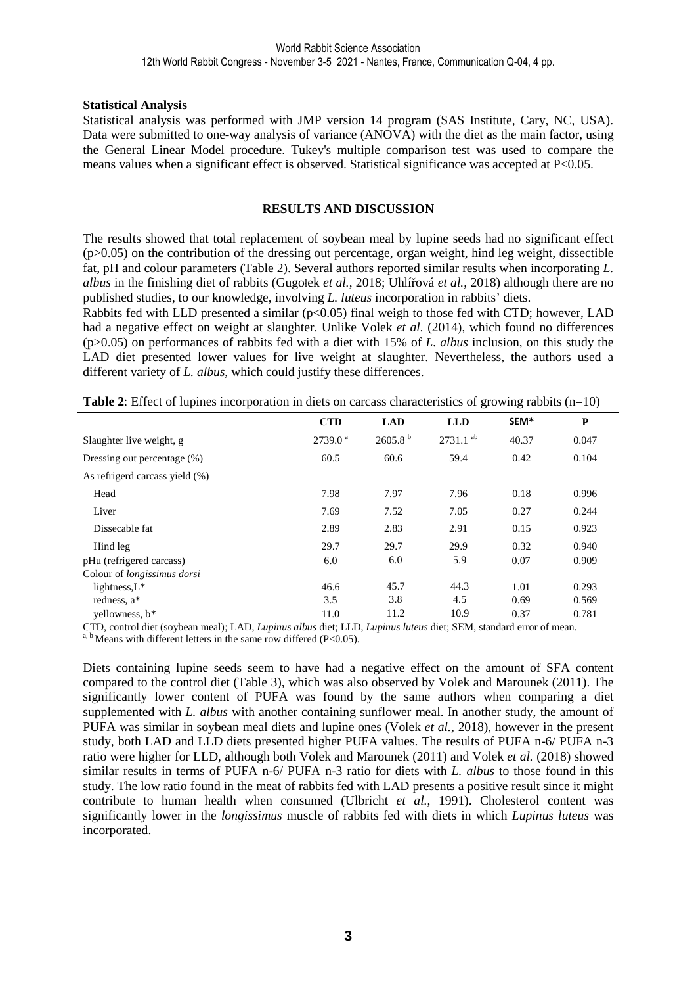### **Statistical Analysis**

Statistical analysis was performed with JMP version 14 program (SAS Institute, Cary, NC, USA). Data were submitted to one-way analysis of variance (ANOVA) with the diet as the main factor, using the General Linear Model procedure. Tukey's multiple comparison test was used to compare the means values when a significant effect is observed. Statistical significance was accepted at P<0.05.

### **RESULTS AND DISCUSSION**

The results showed that total replacement of soybean meal by lupine seeds had no significant effect  $(p>0.05)$  on the contribution of the dressing out percentage, organ weight, hind leg weight, dissectible fat, pH and colour parameters (Table 2). Several authors reported similar results when incorporating *L. albus* in the finishing diet of rabbits (Gugołek *et al.*, 2018; Uhlířová *et al.*, 2018) although there are no published studies, to our knowledge, involving *L. luteus* incorporation in rabbits' diets.

Rabbits fed with LLD presented a similar ( $p<0.05$ ) final weigh to those fed with CTD; however, LAD had a negative effect on weight at slaughter. Unlike Volek *et al.* (2014), which found no differences (p>0.05) on performances of rabbits fed with a diet with 15% of *L. albus* inclusion, on this study the LAD diet presented lower values for live weight at slaughter. Nevertheless, the authors used a different variety of *L. albus*, which could justify these differences.

|                                    | <b>CTD</b>          | <b>LAD</b>          | <b>LLD</b>             | SEM*  | P     |
|------------------------------------|---------------------|---------------------|------------------------|-------|-------|
| Slaughter live weight, g           | $2739.0^{\text{a}}$ | 2605.8 <sup>b</sup> | $2731.1$ <sup>ab</sup> | 40.37 | 0.047 |
| Dressing out percentage (%)        | 60.5                | 60.6                | 59.4                   | 0.42  | 0.104 |
| As refrigerd carcass yield (%)     |                     |                     |                        |       |       |
| Head                               | 7.98                | 7.97                | 7.96                   | 0.18  | 0.996 |
| Liver                              | 7.69                | 7.52                | 7.05                   | 0.27  | 0.244 |
| Dissecable fat                     | 2.89                | 2.83                | 2.91                   | 0.15  | 0.923 |
| Hind leg                           | 29.7                | 29.7                | 29.9                   | 0.32  | 0.940 |
| pHu (refrigered carcass)           | 6.0                 | 6.0                 | 5.9                    | 0.07  | 0.909 |
| Colour of <i>longissimus dorsi</i> |                     |                     |                        |       |       |
| lightness, $L^*$                   | 46.6                | 45.7                | 44.3                   | 1.01  | 0.293 |
| redness, a*                        | 3.5                 | 3.8                 | 4.5                    | 0.69  | 0.569 |
| vellowness, b*                     | 11.0                | 11.2                | 10.9                   | 0.37  | 0.781 |

**Table 2:** Effect of lupines incorporation in diets on carcass characteristics of growing rabbits (n=10)

CTD, control diet (soybean meal); LAD, *Lupinus albus* diet; LLD, *Lupinus luteus* diet; SEM, standard error of mean.

<sup>a, b</sup> Means with different letters in the same row differed (P<0.05).

Diets containing lupine seeds seem to have had a negative effect on the amount of SFA content compared to the control diet (Table 3), which was also observed by Volek and Marounek (2011). The significantly lower content of PUFA was found by the same authors when comparing a diet supplemented with *L. albus* with another containing sunflower meal. In another study, the amount of PUFA was similar in soybean meal diets and lupine ones (Volek *et al.*, 2018), however in the present study, both LAD and LLD diets presented higher PUFA values. The results of PUFA n-6/ PUFA n-3 ratio were higher for LLD, although both Volek and Marounek (2011) and Volek *et al.* (2018) showed similar results in terms of PUFA n-6/ PUFA n-3 ratio for diets with *L. albus* to those found in this study. The low ratio found in the meat of rabbits fed with LAD presents a positive result since it might contribute to human health when consumed (Ulbricht *et al.*, 1991). Cholesterol content was significantly lower in the *longissimus* muscle of rabbits fed with diets in which *Lupinus luteus* was incorporated.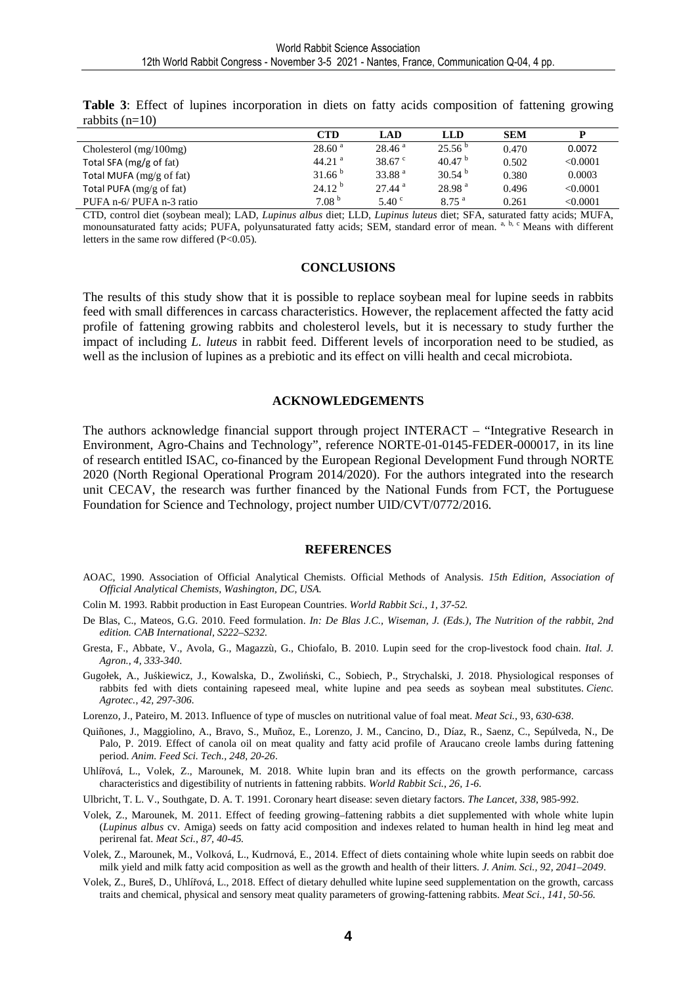| 1000100111107                      |                      |                      |                    |            |          |
|------------------------------------|----------------------|----------------------|--------------------|------------|----------|
|                                    | CTD                  | LAD                  | <b>LLD</b>         | <b>SEM</b> | D        |
| Cholesterol $(mg/100mg)$           | 28.60 <sup>a</sup>   | 28.46 <sup>a</sup>   | 25.56 <sup>b</sup> | 0.470      | 0.0072   |
| Total SFA ( $mg/g$ of fat)         | $44.21$ <sup>a</sup> | $38.67^{\circ}$      | 40.47 $^{\rm b}$   | 0.502      | < 0.0001 |
| Total MUFA $(mg/g \text{ of fat})$ | $31.66^{b}$          | 33.88 <sup>a</sup>   | $30.54^{b}$        | 0.380      | 0.0003   |
| Total PUFA $(mg/g \text{ of fat})$ | 24.12 <sup>b</sup>   | $27.44$ <sup>a</sup> | 28.98 <sup>a</sup> | 0.496      | <0.0001  |
| PUFA n-6/PUFA n-3 ratio            | 7.08 <sup>b</sup>    | 5.40 $^{\circ}$      | 8.75 <sup>a</sup>  | 0.261      | < 0.0001 |

**Table 3**: Effect of lupines incorporation in diets on fatty acids composition of fattening growing rabbits  $(n=10)$ 

CTD, control diet (soybean meal); LAD, *Lupinus albus* diet; LLD, *Lupinus luteus* diet; SFA, saturated fatty acids; MUFA, monounsaturated fatty acids; PUFA, polyunsaturated fatty acids; SEM, standard error of mean. a, b, c Means with different letters in the same row differed (P<0.05).

#### **CONCLUSIONS**

The results of this study show that it is possible to replace soybean meal for lupine seeds in rabbits feed with small differences in carcass characteristics. However, the replacement affected the fatty acid profile of fattening growing rabbits and cholesterol levels, but it is necessary to study further the impact of including *L. luteus* in rabbit feed. Different levels of incorporation need to be studied, as well as the inclusion of lupines as a prebiotic and its effect on villi health and cecal microbiota.

#### **ACKNOWLEDGEMENTS**

The authors acknowledge financial support through project INTERACT – "Integrative Research in Environment, Agro-Chains and Technology", reference NORTE-01-0145-FEDER-000017, in its line of research entitled ISAC, co-financed by the European Regional Development Fund through NORTE 2020 (North Regional Operational Program 2014/2020). For the authors integrated into the research unit CECAV, the research was further financed by the National Funds from FCT, the Portuguese Foundation for Science and Technology, project number UID/CVT/0772/2016.

#### **REFERENCES**

- AOAC, 1990. Association of Official Analytical Chemists. Official Methods of Analysis. *15th Edition, Association of Official Analytical Chemists, Washington, DC, USA.*
- Colin M. 1993. Rabbit production in East European Countries. *World Rabbit Sci., 1, 37-52.*
- De Blas, C., Mateos, G.G. 2010. Feed formulation. *In: De Blas J.C., Wiseman, J. (Eds.), The Nutrition of the rabbit, 2nd edition. CAB International, S222–S232.*
- Gresta, F., Abbate, V., Avola, G., Magazzù, G., Chiofalo, B. 2010. Lupin seed for the crop-livestock food chain. *Ital. J. Agron., 4, 333-340*.
- Gugołek, A., Juśkiewicz, J., Kowalska, D., Zwoliński, C., Sobiech, P., Strychalski, J. 2018. Physiological responses of rabbits fed with diets containing rapeseed meal, white lupine and pea seeds as soybean meal substitutes. *Cienc. Agrotec.*, *42, 297-306.*
- Lorenzo, J., Pateiro, M. 2013. Influence of type of muscles on nutritional value of foal meat. *Meat Sci.,* 93*, 630-638*.
- Quiñones, J., Maggiolino, A., Bravo, S., Muñoz, E., Lorenzo, J. M., Cancino, D., Díaz, R., Saenz, C., Sepúlveda, N., De Palo, P. 2019. Effect of canola oil on meat quality and fatty acid profile of Araucano creole lambs during fattening period. *Anim. Feed Sci. Tech., 248, 20-26*.
- Uhlířová, L., Volek, Z., Marounek, M. 2018. White lupin bran and its effects on the growth performance, carcass characteristics and digestibility of nutrients in fattening rabbits. *World Rabbit Sci.*, *26, 1-6.*
- Ulbricht, T. L. V., Southgate, D. A. T. 1991. Coronary heart disease: seven dietary factors. *The Lancet*, *338*, 985-992.
- Volek, Z., Marounek, M. 2011. Effect of feeding growing–fattening rabbits a diet supplemented with whole white lupin (*Lupinus albus* cv. Amiga) seeds on fatty acid composition and indexes related to human health in hind leg meat and perirenal fat. *Meat Sci.*, *87, 40-45.*
- Volek, Z., Marounek, M., Volková, L., Kudrnová, E., 2014. Effect of diets containing whole white lupin seeds on rabbit doe milk yield and milk fatty acid composition as well as the growth and health of their litters. *J. Anim. Sci., 92, 2041–2049*.
- Volek, Z., Bureš, D., Uhlířová, L., 2018. Effect of dietary dehulled white lupine seed supplementation on the growth, carcass traits and chemical, physical and sensory meat quality parameters of growing-fattening rabbits. *Meat Sci.*, *141*, *50-56.*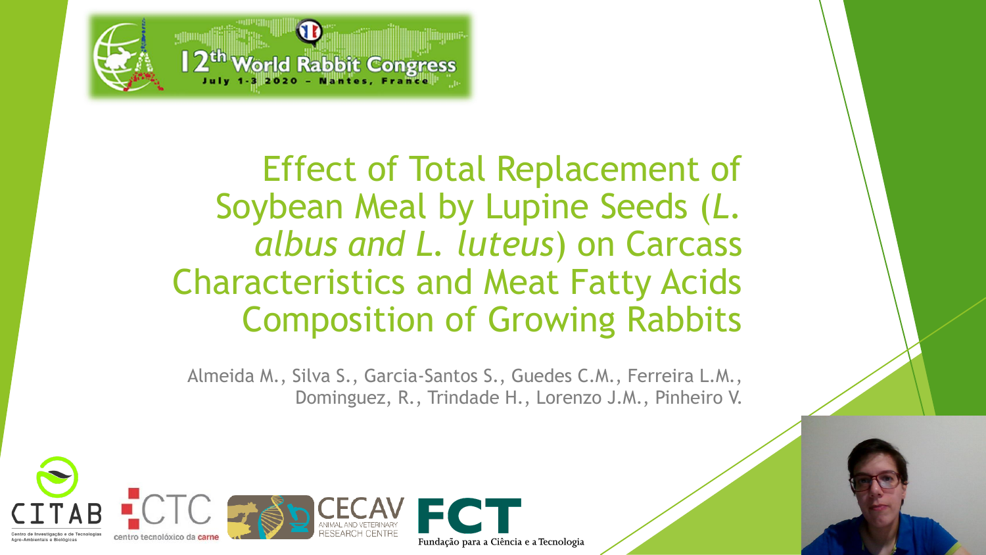

Effect of Total Replacement of Soybean Meal by Lupine Seeds (*L. albus and L. luteus*) on Carcass Characteristics and Meat Fatty Acids Composition of Growing Rabbits

Almeida M., Silva S., Garcia-Santos S., Guedes C.M., Ferreira L.M., Dominguez, R., Trindade H., Lorenzo J.M., Pinheiro V.

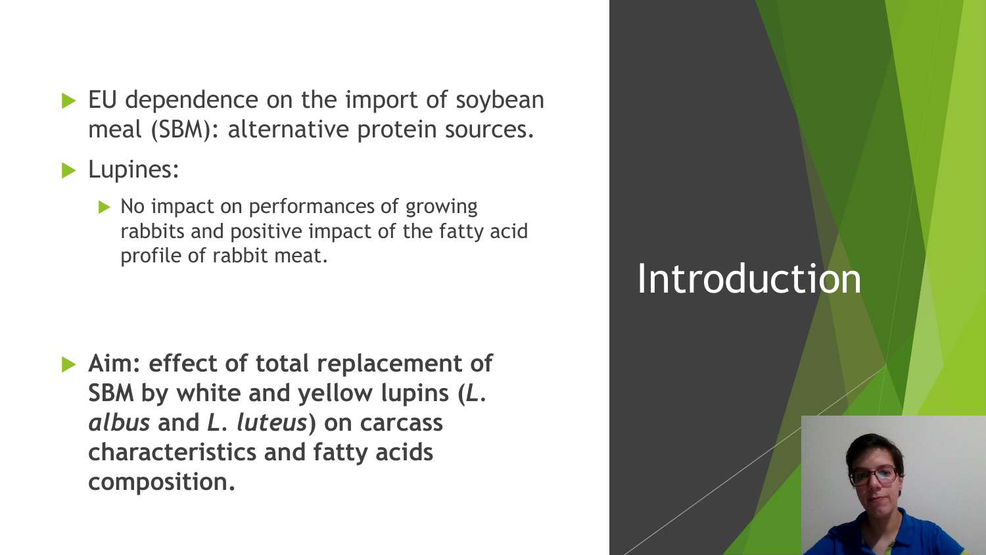EU dependence on the import of soybean meal (SBM): alternative protein sources.

**Lupines:** 

 $\blacktriangleright$  No impact on performances of growing rabbits and positive impact of the fatty acid profile of rabbit meat.

 **Aim: effect of total replacement of SBM by white and yellow lupins (***L. albus* **and** *L. luteus***) on carcass characteristics and fatty acids composition.**

# Introduction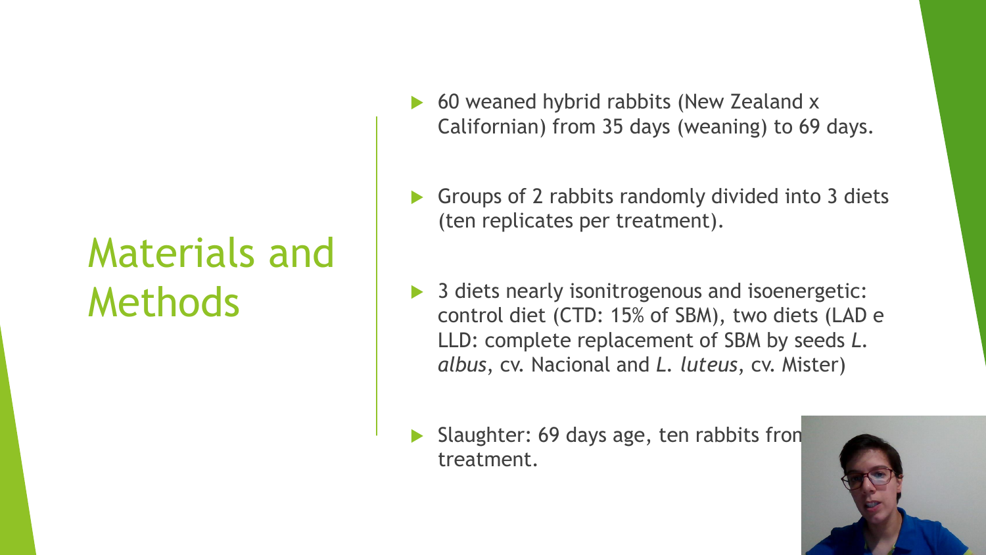# Materials and Methods

- ▶ 60 weaned hybrid rabbits (New Zealand x Californian) from 35 days (weaning) to 69 days.
- Groups of 2 rabbits randomly divided into 3 diets (ten replicates per treatment).
- ▶ 3 diets nearly isonitrogenous and isoenergetic: control diet (CTD: 15% of SBM), two diets (LAD e LLD: complete replacement of SBM by seeds *L. albus*, cv. Nacional and *L. luteus*, cv. Mister)
- Slaughter: 69 days age, ten rabbits from treatment.

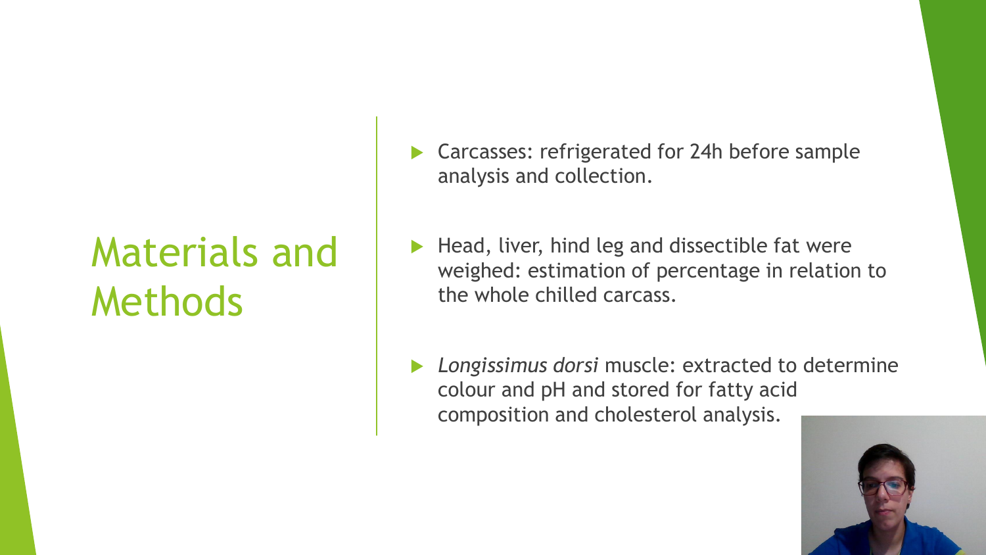# Materials and Methods

- ▶ Carcasses: refrigerated for 24h before sample analysis and collection.
- $\blacktriangleright$  Head, liver, hind leg and dissectible fat were weighed: estimation of percentage in relation to the whole chilled carcass.
- *Longissimus dorsi* muscle: extracted to determine colour and pH and stored for fatty acid composition and cholesterol analysis.

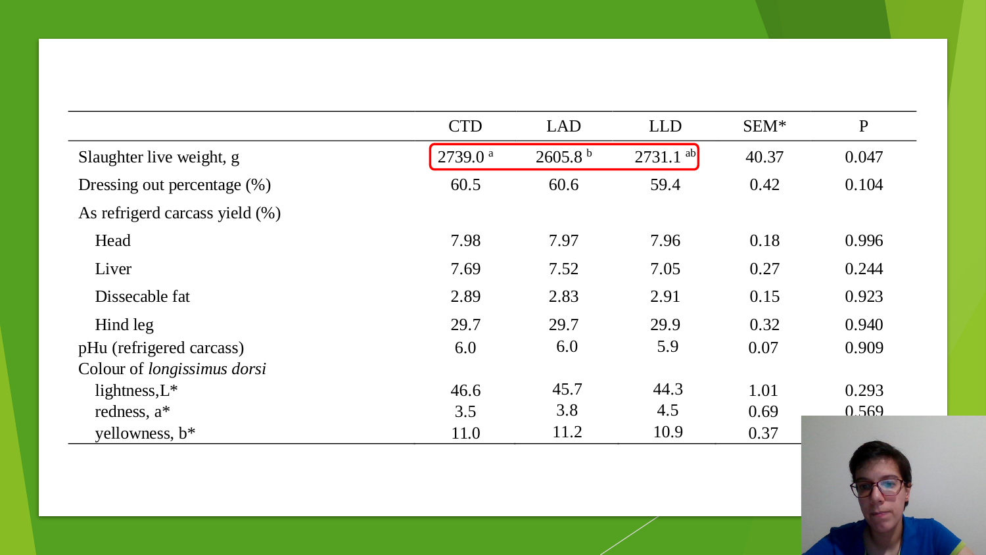|                                    | <b>CTD</b>            | <b>LAD</b>          | <b>LLD</b>  | SEM <sup>*</sup> | $\mathbf{P}$ |
|------------------------------------|-----------------------|---------------------|-------------|------------------|--------------|
| Slaughter live weight, g           | $2739.0$ <sup>a</sup> | 2605.8 <sup>b</sup> | $2731.1$ ab | 40.37            | 0.047        |
| Dressing out percentage (%)        | 60.5                  | 60.6                | 59.4        | 0.42             | 0.104        |
| As refrigerd carcass yield (%)     |                       |                     |             |                  |              |
| Head                               | 7.98                  | 7.97                | 7.96        | 0.18             | 0.996        |
| Liver                              | 7.69                  | 7.52                | 7.05        | 0.27             | 0.244        |
| Dissecable fat                     | 2.89                  | 2.83                | 2.91        | 0.15             | 0.923        |
| Hind leg                           | 29.7                  | 29.7                | 29.9        | 0.32             | 0.940        |
| pHu (refrigered carcass)           | 6.0                   | 6.0                 | 5.9         | 0.07             | 0.909        |
| Colour of <i>longissimus dorsi</i> |                       |                     |             |                  |              |
| lightness, $L^*$                   | 46.6                  | 45.7                | 44.3        | 1.01             | 0.293        |
| redness, $a^*$                     | 3.5                   | 3.8                 | 4.5         | 0.69             | 0.569        |
| yellowness, $b^*$                  | 11.0                  | 11.2                | 10.9        | 0.37             |              |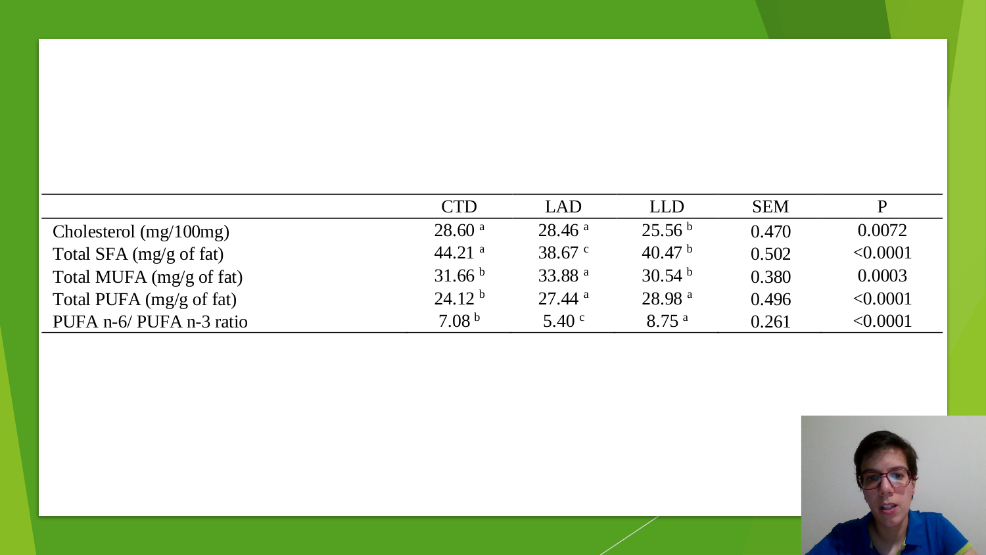|                                    | <b>CTD</b>           | LAD.                 | LLD                | <b>SEM</b> | D        |
|------------------------------------|----------------------|----------------------|--------------------|------------|----------|
| Cholesterol $(mg/100mg)$           | $28.60^{\text{ a}}$  | 28.46 <sup>a</sup>   | 25.56 <sup>b</sup> | 0.470      | 0.0072   |
| Total SFA $(mg/g \text{ of fat})$  | $44.21$ <sup>a</sup> | 38.67 $\degree$      | 40.47 <sup>b</sup> | 0.502      | < 0.0001 |
| Total MUFA (mg/g of fat)           | 31.66 <sup>b</sup>   | 33.88 <sup>a</sup>   | 30.54 <sup>b</sup> | 0.380      | 0.0003   |
| Total PUFA $(mg/g \text{ of fat})$ | 24.12 <sup>b</sup>   | $27.44$ <sup>a</sup> | 28.98 <sup>a</sup> | 0.496      | < 0.0001 |
| PUFA n-6/PUFA n-3 ratio            | 7.08 <sup>b</sup>    | 5.40 <sup>c</sup>    | 8.75 <sup>a</sup>  | 0.261      | < 0.0001 |

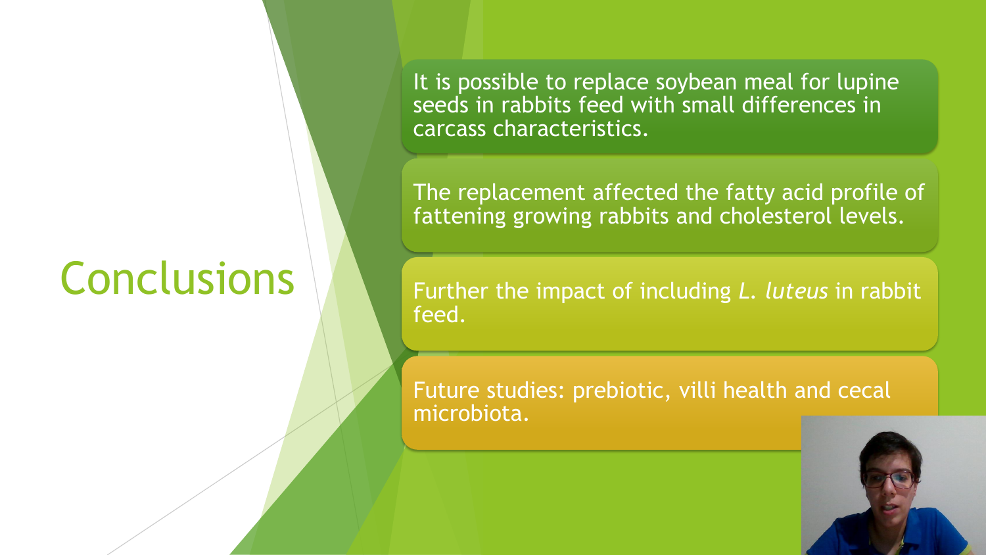# Conclusions

It is possible to replace soybean meal for lupine seeds in rabbits feed with small differences in carcass characteristics.

The replacement affected the fatty acid profile of fattening growing rabbits and cholesterol levels.

Further the impact of including *L. luteus* in rabbit feed.

Future studies: prebiotic, villi health and cecal microbiota.